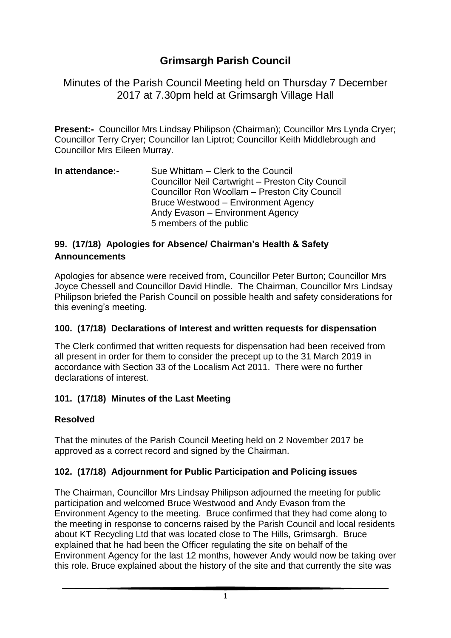# **Grimsargh Parish Council**

Minutes of the Parish Council Meeting held on Thursday 7 December 2017 at 7.30pm held at Grimsargh Village Hall

**Present:-** Councillor Mrs Lindsay Philipson (Chairman); Councillor Mrs Lynda Cryer; Councillor Terry Cryer; Councillor Ian Liptrot; Councillor Keith Middlebrough and Councillor Mrs Eileen Murray.

**In attendance:-** Sue Whittam – Clerk to the Council Councillor Neil Cartwright – Preston City Council Councillor Ron Woollam – Preston City Council Bruce Westwood – Environment Agency Andy Evason – Environment Agency 5 members of the public

### **99. (17/18) Apologies for Absence/ Chairman's Health & Safety Announcements**

Apologies for absence were received from, Councillor Peter Burton; Councillor Mrs Joyce Chessell and Councillor David Hindle. The Chairman, Councillor Mrs Lindsay Philipson briefed the Parish Council on possible health and safety considerations for this evening's meeting.

### **100. (17/18) Declarations of Interest and written requests for dispensation**

The Clerk confirmed that written requests for dispensation had been received from all present in order for them to consider the precept up to the 31 March 2019 in accordance with Section 33 of the Localism Act 2011. There were no further declarations of interest.

### **101. (17/18) Minutes of the Last Meeting**

### **Resolved**

That the minutes of the Parish Council Meeting held on 2 November 2017 be approved as a correct record and signed by the Chairman.

## **102. (17/18) Adjournment for Public Participation and Policing issues**

The Chairman, Councillor Mrs Lindsay Philipson adjourned the meeting for public participation and welcomed Bruce Westwood and Andy Evason from the Environment Agency to the meeting. Bruce confirmed that they had come along to the meeting in response to concerns raised by the Parish Council and local residents about KT Recycling Ltd that was located close to The Hills, Grimsargh. Bruce explained that he had been the Officer regulating the site on behalf of the Environment Agency for the last 12 months, however Andy would now be taking over this role. Bruce explained about the history of the site and that currently the site was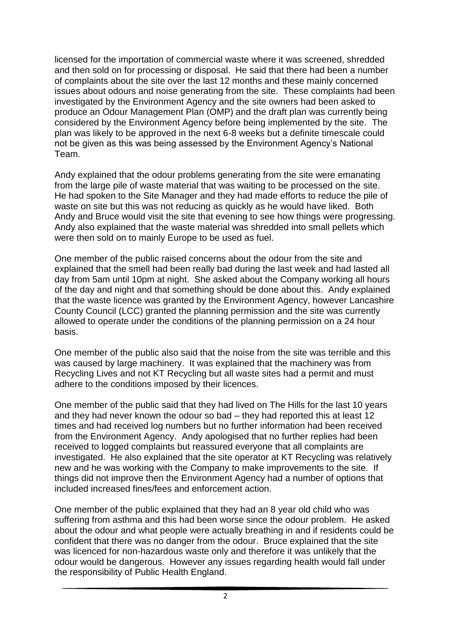licensed for the importation of commercial waste where it was screened, shredded and then sold on for processing or disposal. He said that there had been a number of complaints about the site over the last 12 months and these mainly concerned issues about odours and noise generating from the site. These complaints had been investigated by the Environment Agency and the site owners had been asked to produce an Odour Management Plan (OMP) and the draft plan was currently being considered by the Environment Agency before being implemented by the site. The plan was likely to be approved in the next 6-8 weeks but a definite timescale could not be given as this was being assessed by the Environment Agency's National Team.

Andy explained that the odour problems generating from the site were emanating from the large pile of waste material that was waiting to be processed on the site. He had spoken to the Site Manager and they had made efforts to reduce the pile of waste on site but this was not reducing as quickly as he would have liked. Both Andy and Bruce would visit the site that evening to see how things were progressing. Andy also explained that the waste material was shredded into small pellets which were then sold on to mainly Europe to be used as fuel.

One member of the public raised concerns about the odour from the site and explained that the smell had been really bad during the last week and had lasted all day from 5am until 10pm at night. She asked about the Company working all hours of the day and night and that something should be done about this. Andy explained that the waste licence was granted by the Environment Agency, however Lancashire County Council (LCC) granted the planning permission and the site was currently allowed to operate under the conditions of the planning permission on a 24 hour basis.

One member of the public also said that the noise from the site was terrible and this was caused by large machinery. It was explained that the machinery was from Recycling Lives and not KT Recycling but all waste sites had a permit and must adhere to the conditions imposed by their licences.

One member of the public said that they had lived on The Hills for the last 10 years and they had never known the odour so bad – they had reported this at least 12 times and had received log numbers but no further information had been received from the Environment Agency. Andy apologised that no further replies had been received to logged complaints but reassured everyone that all complaints are investigated. He also explained that the site operator at KT Recycling was relatively new and he was working with the Company to make improvements to the site. If things did not improve then the Environment Agency had a number of options that included increased fines/fees and enforcement action.

One member of the public explained that they had an 8 year old child who was suffering from asthma and this had been worse since the odour problem. He asked about the odour and what people were actually breathing in and if residents could be confident that there was no danger from the odour. Bruce explained that the site was licenced for non-hazardous waste only and therefore it was unlikely that the odour would be dangerous. However any issues regarding health would fall under the responsibility of Public Health England.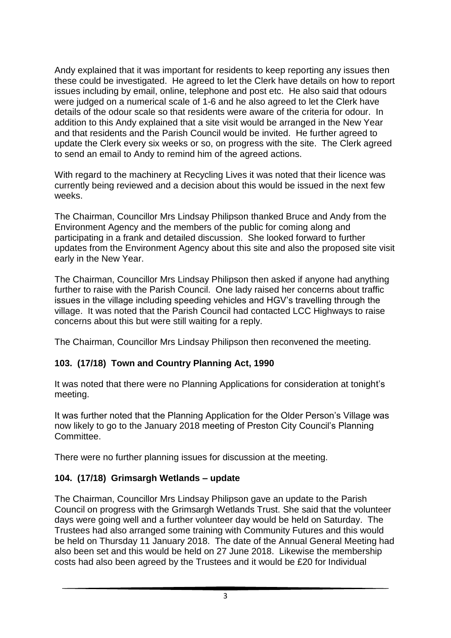Andy explained that it was important for residents to keep reporting any issues then these could be investigated. He agreed to let the Clerk have details on how to report issues including by email, online, telephone and post etc. He also said that odours were judged on a numerical scale of 1-6 and he also agreed to let the Clerk have details of the odour scale so that residents were aware of the criteria for odour. In addition to this Andy explained that a site visit would be arranged in the New Year and that residents and the Parish Council would be invited. He further agreed to update the Clerk every six weeks or so, on progress with the site. The Clerk agreed to send an email to Andy to remind him of the agreed actions.

With regard to the machinery at Recycling Lives it was noted that their licence was currently being reviewed and a decision about this would be issued in the next few weeks.

The Chairman, Councillor Mrs Lindsay Philipson thanked Bruce and Andy from the Environment Agency and the members of the public for coming along and participating in a frank and detailed discussion. She looked forward to further updates from the Environment Agency about this site and also the proposed site visit early in the New Year.

The Chairman, Councillor Mrs Lindsay Philipson then asked if anyone had anything further to raise with the Parish Council. One lady raised her concerns about traffic issues in the village including speeding vehicles and HGV's travelling through the village. It was noted that the Parish Council had contacted LCC Highways to raise concerns about this but were still waiting for a reply.

The Chairman, Councillor Mrs Lindsay Philipson then reconvened the meeting.

## **103. (17/18) Town and Country Planning Act, 1990**

It was noted that there were no Planning Applications for consideration at tonight's meeting.

It was further noted that the Planning Application for the Older Person's Village was now likely to go to the January 2018 meeting of Preston City Council's Planning Committee.

There were no further planning issues for discussion at the meeting.

### **104. (17/18) Grimsargh Wetlands – update**

The Chairman, Councillor Mrs Lindsay Philipson gave an update to the Parish Council on progress with the Grimsargh Wetlands Trust. She said that the volunteer days were going well and a further volunteer day would be held on Saturday. The Trustees had also arranged some training with Community Futures and this would be held on Thursday 11 January 2018. The date of the Annual General Meeting had also been set and this would be held on 27 June 2018. Likewise the membership costs had also been agreed by the Trustees and it would be £20 for Individual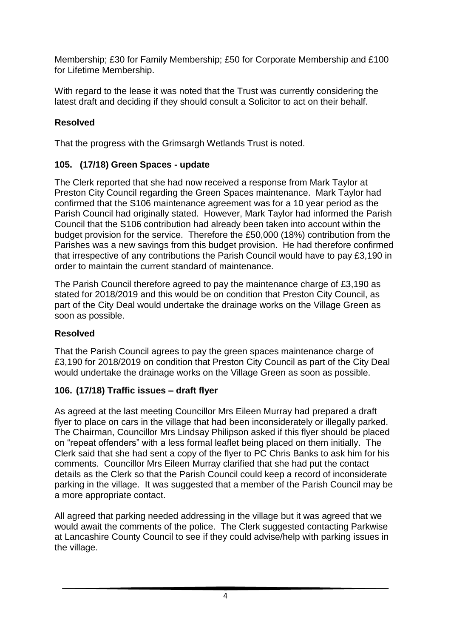Membership; £30 for Family Membership; £50 for Corporate Membership and £100 for Lifetime Membership.

With regard to the lease it was noted that the Trust was currently considering the latest draft and deciding if they should consult a Solicitor to act on their behalf.

### **Resolved**

That the progress with the Grimsargh Wetlands Trust is noted.

### **105. (17/18) Green Spaces - update**

The Clerk reported that she had now received a response from Mark Taylor at Preston City Council regarding the Green Spaces maintenance. Mark Taylor had confirmed that the S106 maintenance agreement was for a 10 year period as the Parish Council had originally stated. However, Mark Taylor had informed the Parish Council that the S106 contribution had already been taken into account within the budget provision for the service. Therefore the £50,000 (18%) contribution from the Parishes was a new savings from this budget provision. He had therefore confirmed that irrespective of any contributions the Parish Council would have to pay £3,190 in order to maintain the current standard of maintenance.

The Parish Council therefore agreed to pay the maintenance charge of £3,190 as stated for 2018/2019 and this would be on condition that Preston City Council, as part of the City Deal would undertake the drainage works on the Village Green as soon as possible.

### **Resolved**

That the Parish Council agrees to pay the green spaces maintenance charge of £3,190 for 2018/2019 on condition that Preston City Council as part of the City Deal would undertake the drainage works on the Village Green as soon as possible.

### **106. (17/18) Traffic issues – draft flyer**

As agreed at the last meeting Councillor Mrs Eileen Murray had prepared a draft flyer to place on cars in the village that had been inconsiderately or illegally parked. The Chairman, Councillor Mrs Lindsay Philipson asked if this flyer should be placed on "repeat offenders" with a less formal leaflet being placed on them initially. The Clerk said that she had sent a copy of the flyer to PC Chris Banks to ask him for his comments. Councillor Mrs Eileen Murray clarified that she had put the contact details as the Clerk so that the Parish Council could keep a record of inconsiderate parking in the village. It was suggested that a member of the Parish Council may be a more appropriate contact.

All agreed that parking needed addressing in the village but it was agreed that we would await the comments of the police. The Clerk suggested contacting Parkwise at Lancashire County Council to see if they could advise/help with parking issues in the village.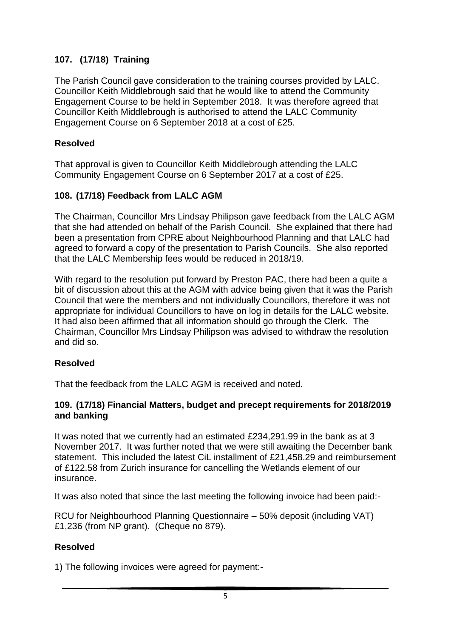### **107. (17/18) Training**

The Parish Council gave consideration to the training courses provided by LALC. Councillor Keith Middlebrough said that he would like to attend the Community Engagement Course to be held in September 2018. It was therefore agreed that Councillor Keith Middlebrough is authorised to attend the LALC Community Engagement Course on 6 September 2018 at a cost of £25.

#### **Resolved**

That approval is given to Councillor Keith Middlebrough attending the LALC Community Engagement Course on 6 September 2017 at a cost of £25.

### **108. (17/18) Feedback from LALC AGM**

The Chairman, Councillor Mrs Lindsay Philipson gave feedback from the LALC AGM that she had attended on behalf of the Parish Council. She explained that there had been a presentation from CPRE about Neighbourhood Planning and that LALC had agreed to forward a copy of the presentation to Parish Councils. She also reported that the LALC Membership fees would be reduced in 2018/19.

With regard to the resolution put forward by Preston PAC, there had been a quite a bit of discussion about this at the AGM with advice being given that it was the Parish Council that were the members and not individually Councillors, therefore it was not appropriate for individual Councillors to have on log in details for the LALC website. It had also been affirmed that all information should go through the Clerk. The Chairman, Councillor Mrs Lindsay Philipson was advised to withdraw the resolution and did so.

#### **Resolved**

That the feedback from the LALC AGM is received and noted.

#### **109. (17/18) Financial Matters, budget and precept requirements for 2018/2019 and banking**

It was noted that we currently had an estimated £234,291.99 in the bank as at 3 November 2017. It was further noted that we were still awaiting the December bank statement. This included the latest CiL installment of £21,458.29 and reimbursement of £122.58 from Zurich insurance for cancelling the Wetlands element of our insurance.

It was also noted that since the last meeting the following invoice had been paid:-

RCU for Neighbourhood Planning Questionnaire – 50% deposit (including VAT) £1,236 (from NP grant). (Cheque no 879).

### **Resolved**

1) The following invoices were agreed for payment:-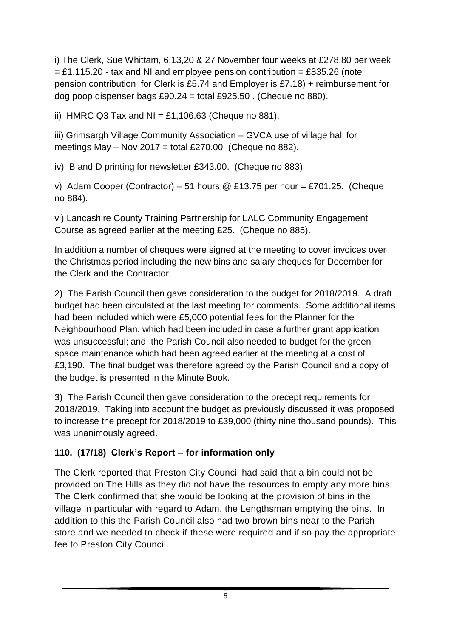i) The Clerk, Sue Whittam, 6,13,20 & 27 November four weeks at £278.80 per week  $=$  £1,115.20 - tax and NI and employee pension contribution = £835.26 (note pension contribution for Clerk is £5.74 and Employer is £7.18) + reimbursement for dog poop dispenser bags  $£90.24 =$  total £925.50 . (Cheque no 880).

ii) HMRC Q3 Tax and NI =  $£1,106.63$  (Cheque no 881).

iii) Grimsargh Village Community Association – GVCA use of village hall for meetings May – Nov 2017 = total £270.00 (Cheque no 882).

iv) B and D printing for newsletter £343.00. (Cheque no 883).

v) Adam Cooper (Contractor) – 51 hours @ £13.75 per hour = £701.25. (Cheque no 884).

vi) Lancashire County Training Partnership for LALC Community Engagement Course as agreed earlier at the meeting £25. (Cheque no 885).

In addition a number of cheques were signed at the meeting to cover invoices over the Christmas period including the new bins and salary cheques for December for the Clerk and the Contractor.

2) The Parish Council then gave consideration to the budget for 2018/2019. A draft budget had been circulated at the last meeting for comments. Some additional items had been included which were £5,000 potential fees for the Planner for the Neighbourhood Plan, which had been included in case a further grant application was unsuccessful; and, the Parish Council also needed to budget for the green space maintenance which had been agreed earlier at the meeting at a cost of £3,190. The final budget was therefore agreed by the Parish Council and a copy of the budget is presented in the Minute Book.

3) The Parish Council then gave consideration to the precept requirements for 2018/2019. Taking into account the budget as previously discussed it was proposed to increase the precept for 2018/2019 to £39,000 (thirty nine thousand pounds). This was unanimously agreed.

# **110. (17/18) Clerk's Report – for information only**

The Clerk reported that Preston City Council had said that a bin could not be provided on The Hills as they did not have the resources to empty any more bins. The Clerk confirmed that she would be looking at the provision of bins in the village in particular with regard to Adam, the Lengthsman emptying the bins. In addition to this the Parish Council also had two brown bins near to the Parish store and we needed to check if these were required and if so pay the appropriate fee to Preston City Council.